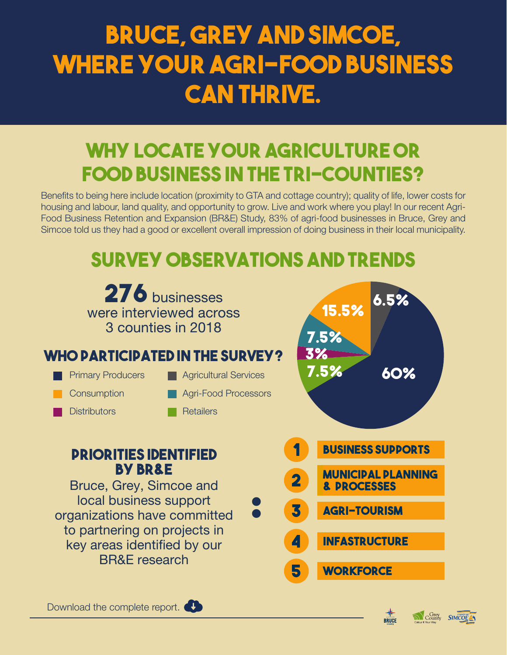# **Bruce, Grey and Simcoe, where your agri-food business can thrive.**

### **Why locate your agriculture or food business in the tri-counties?**

Benefits to being here include location (proximity to GTA and cottage country); quality of life, lower costs for housing and labour, land quality, and opportunity to grow. Live and work where you play! In our recent Agri-Food Business Retention and Expansion (BR&E) Study, 83% of agri-food businesses in Bruce, Grey and Simcoe told us they had a good or excellent overall impression of doing business in their local municipality.

## **Survey Observations and Trends**







County SIMCOE